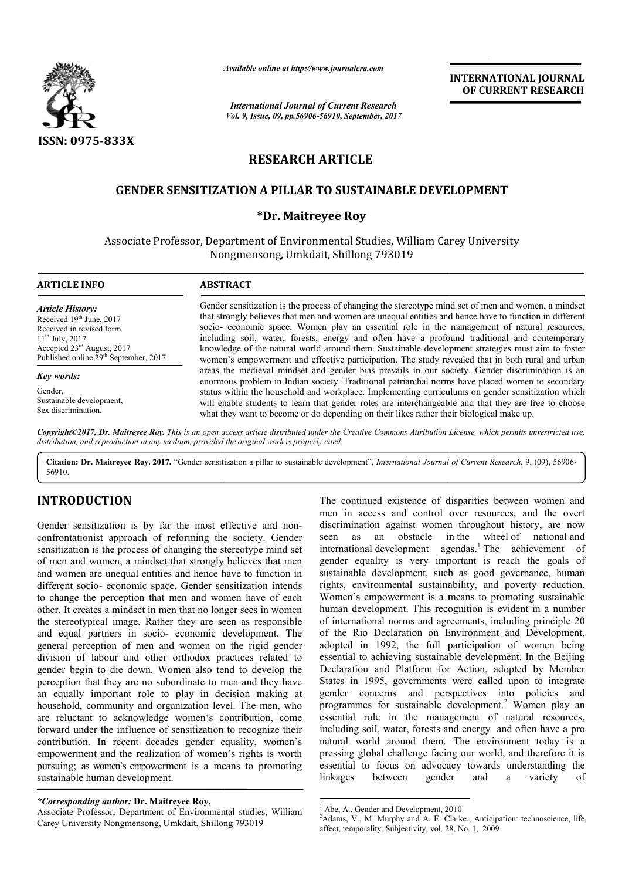

*Available online at http://www.journal http://www.journalcra.com*

*International Journal of Current Research Vol. 9, Issue, 09, pp.56906-56910, September, 2017* **INTERNATIONAL JOURNAL OF CURRENT RESEARCH** 

# **RESEARCH ARTICLE**

## **GENDER SENSITIZATION A PILLAR TO SUSTAINABLE DEVELOPMENT**

## **\*Dr. Maitreyee Roy**

Associate Professor, Department of Environmental Studies, William Carey University , Nongmensong, Umkdait, Shillong 793019

**ARTICLE INFO ABSTRACT** *Article History:* Received 19<sup>th</sup> June, 2017 Received in revised form 11<sup>th</sup> July, 2017 Accepted 23rd August, 2017 Published online 29<sup>th</sup> September, 2017 *Key words:* Gender

Sustainable development, Sex discrimination.

Gender sensitization is the process of changing the stereotype mind set of men and women, a mindset that strongly believes that men and women are unequal entities and hence have to function in different socio- economic space. Women play an essential role in the management of natural resources, including soil, water, forests, energy and often have a profound traditional and contemporary knowledge of the natural world around them. Sustainable development strategies must aim to foster women's empowerment and effective participation. The study revealed that in both rural and urban areas the medieval mindset and gender bias prevails in our society. Gender discrimination is an enormous problem in Indian society. Traditional patriarchal norms have placed women to secondary status within the household and workplace. Implementing curriculums on gender sensitization which will enable students to learn that gender roles are interchangeable and that they are free to choose status within the household and workplace. Implementing curriculums on gender sensit will enable students to learn that gender roles are interchangeable and that they are f what they want to become or do depending on their Gender sensitization is the process of changing the stereotype mind set of men and women, a mindset that strongly believes that men and women are unequal entities and hence have to function in different socio-economic spac

*Copyright©2017, Dr. Maitreyee Roy. This is an open access article distributed under the Creative Commons Att Attribution License, which ribution permits unrestricted use, distribution, and reproduction in any medium, provided the original work is properly cited.*

Citation: Dr. Maitreyee Roy. 2017. "Gender sensitization a pillar to sustainable development", *International Journal of Current Research*, 9, (09), 56906-56910.

# **INTRODUCTION**

Gender sensitization is by far the most effective and nonconfrontationist approach of reforming the society. Gender sensitization is the process of changing the stereotype mind set of men and women, a mindset that strongly believes that men and women are unequal entities and hence have to function in different socio- economic space. Gender sensitization intends to change the perception that men and women have of each other. It creates a mindset in men that no longer sees in women the stereotypical image. Rather they are seen as responsible and equal partners in socio- economic development. The general perception of men and women on the rigid gender division of labour and other orthodox practices related to gender begin to die down. Women also tend to develop the perception that they are no subordinate to men and they have an equally important role to play in decision making at household, community and organization level. The men, who are reluctant to acknowledge women's contribution, come forward under the influence of sensitization to recognize their contribution. In recent decades gender equality, women's empowerment and the realization of women's rights is worth pursuing; as women's empowerment is a means to promoting sustainable human development.

The continued existence of disparities between women and<br>mean in access and control over resources, and the over<br>of reforming the society. Greder<br>of reforming the stenctype mind stell in the wheel of national and<br>of changi men in access and control over resources, and the overt discrimination against women throughout history, are now seen as an obstacle in the international development agendas.<sup>1</sup> The achievement of gender equality is very important is reach the goals of sustainable development, such as good governance, human rights, environmental sustainability, and poverty reduction. Women's empowerment is a means to promoting sustainable human development. This recognition is evident in a number of international norms and agreements, including principle 20 of the Rio Declaration on Environment and Development, adopted in 1992, the full participation of women being of the Rio Declaration on Environment and Development, adopted in 1992, the full participation of women being essential to achieving sustainable development. In the Beijing Declaration and Platform for Action, adopted by Member States in 1995, governments were called upon to integrate gender concerns and perspectives into policies and Declaration and Platform for Action, adopted by Member<br>States in 1995, governments were called upon to integrate<br>gender concerns and perspectives into policies and<br>programmes for sustainable development.<sup>2</sup> Women play an essential role in the management of natural resources, including soil, water, forests and energy and often have a pro natural world around them. The environment today is a pressing global challenge facing our world, and therefore it is essential to focus on advocacy towards understanding the pressing global challenge facing our world, and therefore it is essential to focus on advocacy towards understanding the linkages between gender and a variety of ed existence of disparities between women and<br>ess and control over resources, and the overt<br>n against women throughout history, are now<br>an obstacle in the wheel of national and r equality is very important is reach the goals of nable development, such as good governance, human, environmental sustainability, and poverty reduction.<br>
In a number is a means to promoting sustainable in development. Th gender

*<sup>\*</sup>Corresponding author:* **Dr. Maitreyee Roy,**

Associate Professor, Department of Environmental studies, William Carey University Nongmensong, Umkdait, Shillong 793019

<sup>&</sup>lt;sup>1</sup> Abe, A., Gender and Development, 2010

<sup>&</sup>lt;sup>2</sup>Adams, V., M. Murphy and A. E. Clarke., Anticipation: technoscience, life, affect, temporality. Subjectivity, vol. 28, No. 1, 2009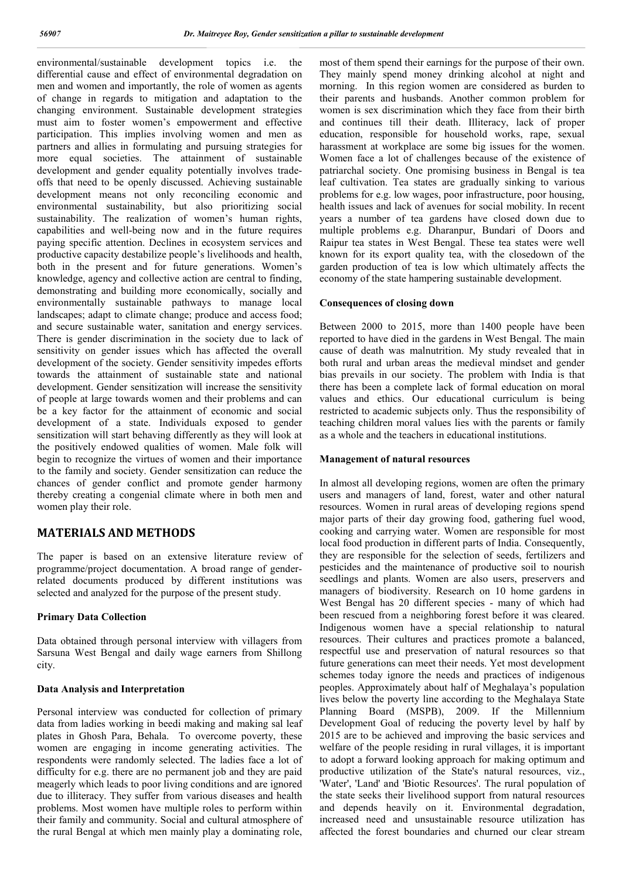environmental/sustainable development topics i.e. the differential cause and effect of environmental degradation on men and women and importantly, the role of women as agents of change in regards to mitigation and adaptation to the changing environment. Sustainable development strategies must aim to foster women's empowerment and effective participation. This implies involving women and men as partners and allies in formulating and pursuing strategies for more equal societies. The attainment of sustainable development and gender equality potentially involves tradeoffs that need to be openly discussed. Achieving sustainable development means not only reconciling economic and environmental sustainability, but also prioritizing social sustainability. The realization of women's human rights, capabilities and well-being now and in the future requires paying specific attention. Declines in ecosystem services and productive capacity destabilize people's livelihoods and health, both in the present and for future generations. Women's knowledge, agency and collective action are central to finding, demonstrating and building more economically, socially and environmentally sustainable pathways to manage local landscapes; adapt to climate change; produce and access food; and secure sustainable water, sanitation and energy services. There is gender discrimination in the society due to lack of sensitivity on gender issues which has affected the overall development of the society. Gender sensitivity impedes efforts towards the attainment of sustainable state and national development. Gender sensitization will increase the sensitivity of people at large towards women and their problems and can be a key factor for the attainment of economic and social development of a state. Individuals exposed to gender sensitization will start behaving differently as they will look at the positively endowed qualities of women. Male folk will begin to recognize the virtues of women and their importance to the family and society. Gender sensitization can reduce the chances of gender conflict and promote gender harmony thereby creating a congenial climate where in both men and women play their role.

# **MATERIALS AND METHODS**

The paper is based on an extensive literature review of programme/project documentation. A broad range of genderrelated documents produced by different institutions was selected and analyzed for the purpose of the present study.

## **Primary Data Collection**

Data obtained through personal interview with villagers from Sarsuna West Bengal and daily wage earners from Shillong city.

#### **Data Analysis and Interpretation**

Personal interview was conducted for collection of primary data from ladies working in beedi making and making sal leaf plates in Ghosh Para, Behala. To overcome poverty, these women are engaging in income generating activities. The respondents were randomly selected. The ladies face a lot of difficulty for e.g. there are no permanent job and they are paid meagerly which leads to poor living conditions and are ignored due to illiteracy. They suffer from various diseases and health problems. Most women have multiple roles to perform within their family and community. Social and cultural atmosphere of the rural Bengal at which men mainly play a dominating role,

most of them spend their earnings for the purpose of their own. They mainly spend money drinking alcohol at night and morning. In this region women are considered as burden to their parents and husbands. Another common problem for women is sex discrimination which they face from their birth and continues till their death. Illiteracy, lack of proper education, responsible for household works, rape, sexual harassment at workplace are some big issues for the women. Women face a lot of challenges because of the existence of patriarchal society. One promising business in Bengal is tea leaf cultivation. Tea states are gradually sinking to various problems for e.g. low wages, poor infrastructure, poor housing, health issues and lack of avenues for social mobility. In recent years a number of tea gardens have closed down due to multiple problems e.g. Dharanpur, Bundari of Doors and Raipur tea states in West Bengal. These tea states were well known for its export quality tea, with the closedown of the garden production of tea is low which ultimately affects the economy of the state hampering sustainable development.

### **Consequences of closing down**

Between 2000 to 2015, more than 1400 people have been reported to have died in the gardens in West Bengal. The main cause of death was malnutrition. My study revealed that in both rural and urban areas the medieval mindset and gender bias prevails in our society. The problem with India is that there has been a complete lack of formal education on moral values and ethics. Our educational curriculum is being restricted to academic subjects only. Thus the responsibility of teaching children moral values lies with the parents or family as a whole and the teachers in educational institutions.

#### **Management of natural resources**

In almost all developing regions, women are often the primary users and managers of land, forest, water and other natural resources. Women in rural areas of developing regions spend major parts of their day growing food, gathering fuel wood, cooking and carrying water. Women are responsible for most local food production in different parts of India. Consequently, they are responsible for the selection of seeds, fertilizers and pesticides and the maintenance of productive soil to nourish seedlings and plants. Women are also users, preservers and managers of biodiversity. Research on 10 home gardens in West Bengal has 20 different species - many of which had been rescued from a neighboring forest before it was cleared. Indigenous women have a special relationship to natural resources. Their cultures and practices promote a balanced, respectful use and preservation of natural resources so that future generations can meet their needs. Yet most development schemes today ignore the needs and practices of indigenous peoples. Approximately about half of Meghalaya's population lives below the poverty line according to the Meghalaya State Planning Board (MSPB), 2009. If the Millennium Development Goal of reducing the poverty level by half by 2015 are to be achieved and improving the basic services and welfare of the people residing in rural villages, it is important to adopt a forward looking approach for making optimum and productive utilization of the State's natural resources, viz., 'Water', 'Land' and 'Biotic Resources'. The rural population of the state seeks their livelihood support from natural resources and depends heavily on it. Environmental degradation, increased need and unsustainable resource utilization has affected the forest boundaries and churned our clear stream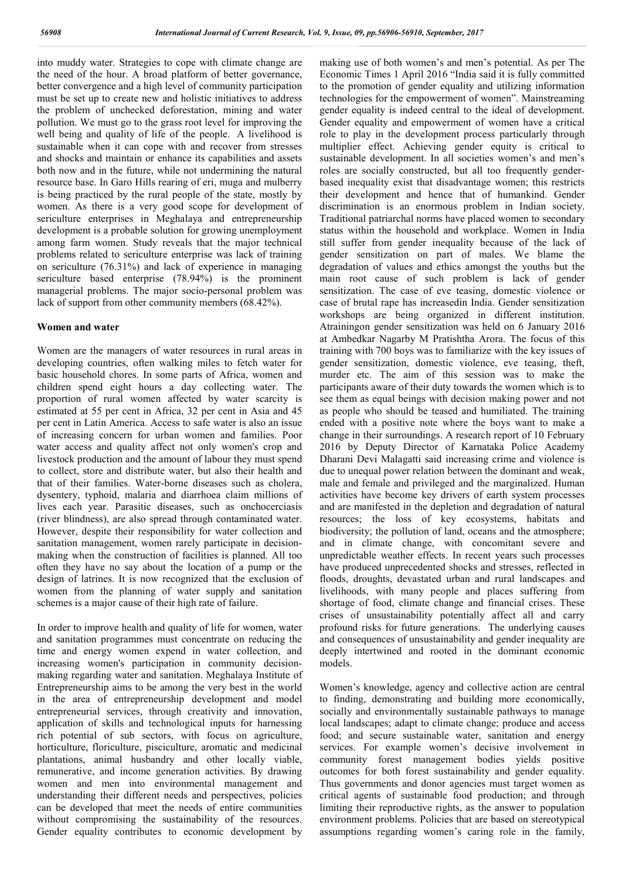into muddy water. Strategies to cope with climate change are the need of the hour. A broad platform of better governance, better convergence and a high level of community participation must be set up to create new and holistic initiatives to address the problem of unchecked deforestation, mining and water pollution. We must go to the grass root level for improving the well being and quality of life of the people. A livelihood is sustainable when it can cope with and recover from stresses and shocks and maintain or enhance its capabilities and assets both now and in the future, while not undermining the natural resource base. In Garo Hills rearing of eri, muga and mulberry is being practiced by the rural people of the state, mostly by women. As there is a very good scope for development of sericulture enterprises in Meghalaya and entrepreneurship development is a probable solution for growing unemployment among farm women. Study reveals that the major technical problems related to sericulture enterprise was lack of training on sericulture (76.31%) and lack of experience in managing sericulture based enterprise (78.94%) is the prominent managerial problems. The major socio-personal problem was lack of support from other community members (68.42%).

#### **Women and water**

Women are the managers of water resources in rural areas in developing countries, often walking miles to fetch water for basic household chores. In some parts of Africa, women and children spend eight hours a day collecting water. The proportion of rural women affected by water scarcity is estimated at 55 per cent in Africa, 32 per cent in Asia and 45 per cent in Latin America. Access to safe water is also an issue of increasing concern for urban women and families. Poor water access and quality affect not only women's crop and livestock production and the amount of labour they must spend to collect, store and distribute water, but also their health and that of their families. Water-borne diseases such as cholera, dysentery, typhoid, malaria and diarrhoea claim millions of lives each year. Parasitic diseases, such as onchocerciasis (river blindness), are also spread through contaminated water. However, despite their responsibility for water collection and sanitation management, women rarely participate in decisionmaking when the construction of facilities is planned. All too often they have no say about the location of a pump or the design of latrines. It is now recognized that the exclusion of women from the planning of water supply and sanitation schemes is a major cause of their high rate of failure.

In order to improve health and quality of life for women, water and sanitation programmes must concentrate on reducing the time and energy women expend in water collection, and increasing women's participation in community decisionmaking regarding water and sanitation. Meghalaya Institute of Entrepreneurship aims to be among the very best in the world in the area of entrepreneurship development and model entrepreneurial services, through creativity and innovation, application of skills and technological inputs for harnessing rich potential of sub sectors, with focus on agriculture, horticulture, floriculture, pisciculture, aromatic and medicinal plantations, animal husbandry and other locally viable, remunerative, and income generation activities. By drawing women and men into environmental management and understanding their different needs and perspectives, policies can be developed that meet the needs of entire communities without compromising the sustainability of the resources. Gender equality contributes to economic development by

making use of both women's and men's potential. As per The Economic Times 1 April 2016 "India said it is fully committed to the promotion of gender equality and utilizing information technologies for the empowerment of women". Mainstreaming gender equality is indeed central to the ideal of development. Gender equality and empowerment of women have a critical role to play in the development process particularly through multiplier effect. Achieving gender equity is critical to sustainable development. In all societies women's and men's roles are socially constructed, but all too frequently genderbased inequality exist that disadvantage women; this restricts their development and hence that of humankind. Gender discrimination is an enormous problem in Indian society. Traditional patriarchal norms have placed women to secondary status within the household and workplace. Women in India still suffer from gender inequality because of the lack of gender sensitization on part of males. We blame the degradation of values and ethics amongst the youths but the main root cause of such problem is lack of gender sensitization. The case of eve teasing, domestic violence or case of brutal rape has increasedin India. Gender sensitization workshops are being organized in different institution. Atrainingon gender sensitization was held on 6 January 2016 at Ambedkar Nagarby M Pratishtha Arora. The focus of this training with 700 boys was to familiarize with the key issues of gender sensitization, domestic violence, eve teasing, theft, murder etc. The aim of this session was to make the participants aware of their duty towards the women which is to see them as equal beings with decision making power and not as people who should be teased and humiliated. The training ended with a positive note where the boys want to make a change in their surroundings. A research report of 10 February 2016 by Deputy Director of Karnataka Police Academy Dharani Devi Malagatti said increasing crime and violence is due to unequal power relation between the dominant and weak, male and female and privileged and the marginalized. Human activities have become key drivers of earth system processes and are manifested in the depletion and degradation of natural resources; the loss of key ecosystems, habitats and biodiversity; the pollution of land, oceans and the atmosphere; and in climate change, with concomitant severe and unpredictable weather effects. In recent years such processes have produced unprecedented shocks and stresses, reflected in floods, droughts, devastated urban and rural landscapes and livelihoods, with many people and places suffering from shortage of food, climate change and financial crises. These crises of unsustainability potentially affect all and carry profound risks for future generations. The underlying causes and consequences of unsustainability and gender inequality are deeply intertwined and rooted in the dominant economic models.

Women's knowledge, agency and collective action are central to finding, demonstrating and building more economically, socially and environmentally sustainable pathways to manage local landscapes; adapt to climate change; produce and access food; and secure sustainable water, sanitation and energy services. For example women's decisive involvement in community forest management bodies yields positive outcomes for both forest sustainability and gender equality. Thus governments and donor agencies must target women as critical agents of sustainable food production; and through limiting their reproductive rights, as the answer to population environment problems. Policies that are based on stereotypical assumptions regarding women's caring role in the family,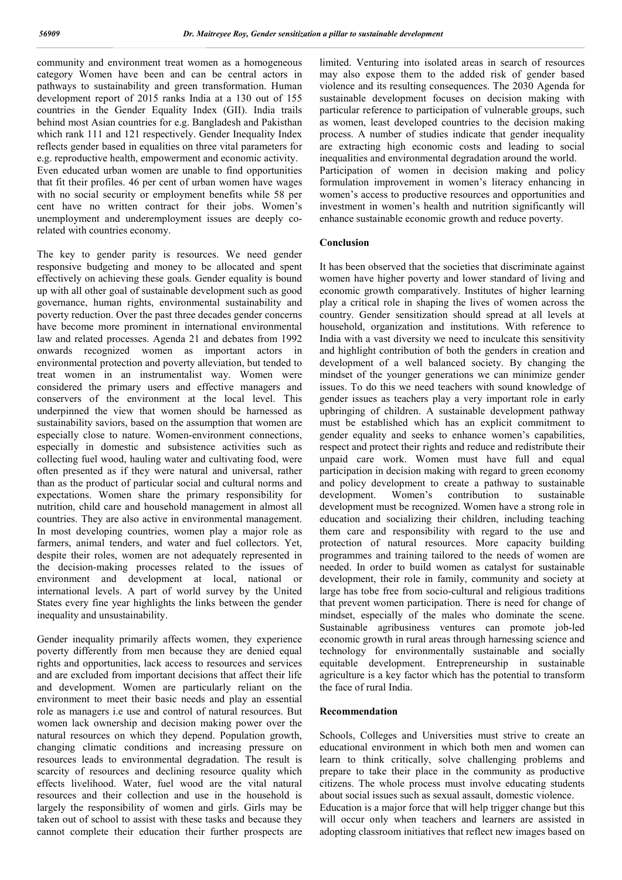community and environment treat women as a homogeneous category Women have been and can be central actors in pathways to sustainability and green transformation. Human development report of 2015 ranks India at a 130 out of 155 countries in the Gender Equality Index (GII). India trails behind most Asian countries for e.g. Bangladesh and Pakisthan which rank 111 and 121 respectively. Gender Inequality Index reflects gender based in equalities on three vital parameters for e.g. reproductive health, empowerment and economic activity. Even educated urban women are unable to find opportunities that fit their profiles. 46 per cent of urban women have wages with no social security or employment benefits while 58 per cent have no written contract for their jobs. Women's unemployment and underemployment issues are deeply corelated with countries economy.

The key to gender parity is resources. We need gender responsive budgeting and money to be allocated and spent effectively on achieving these goals. Gender equality is bound up with all other goal of sustainable development such as good governance, human rights, environmental sustainability and poverty reduction. Over the past three decades gender concerns have become more prominent in international environmental law and related processes. Agenda 21 and debates from 1992 onwards recognized women as important actors in environmental protection and poverty alleviation, but tended to treat women in an instrumentalist way. Women were considered the primary users and effective managers and conservers of the environment at the local level. This underpinned the view that women should be harnessed as sustainability saviors, based on the assumption that women are especially close to nature. Women-environment connections, especially in domestic and subsistence activities such as collecting fuel wood, hauling water and cultivating food, were often presented as if they were natural and universal, rather than as the product of particular social and cultural norms and expectations. Women share the primary responsibility for nutrition, child care and household management in almost all countries. They are also active in environmental management. In most developing countries, women play a major role as farmers, animal tenders, and water and fuel collectors. Yet, despite their roles, women are not adequately represented in the decision-making processes related to the issues of environment and development at local, national or international levels. A part of world survey by the United States every fine year highlights the links between the gender inequality and unsustainability.

Gender inequality primarily affects women, they experience poverty differently from men because they are denied equal rights and opportunities, lack access to resources and services and are excluded from important decisions that affect their life and development. Women are particularly reliant on the environment to meet their basic needs and play an essential role as managers i.e use and control of natural resources. But women lack ownership and decision making power over the natural resources on which they depend. Population growth, changing climatic conditions and increasing pressure on resources leads to environmental degradation. The result is scarcity of resources and declining resource quality which effects livelihood. Water, fuel wood are the vital natural resources and their collection and use in the household is largely the responsibility of women and girls. Girls may be taken out of school to assist with these tasks and because they cannot complete their education their further prospects are

limited. Venturing into isolated areas in search of resources may also expose them to the added risk of gender based violence and its resulting consequences. The 2030 Agenda for sustainable development focuses on decision making with particular reference to participation of vulnerable groups, such as women, least developed countries to the decision making process. A number of studies indicate that gender inequality are extracting high economic costs and leading to social inequalities and environmental degradation around the world. Participation of women in decision making and policy formulation improvement in women's literacy enhancing in women's access to productive resources and opportunities and investment in women's health and nutrition significantly will enhance sustainable economic growth and reduce poverty.

#### **Conclusion**

It has been observed that the societies that discriminate against women have higher poverty and lower standard of living and economic growth comparatively. Institutes of higher learning play a critical role in shaping the lives of women across the country. Gender sensitization should spread at all levels at household, organization and institutions. With reference to India with a vast diversity we need to inculcate this sensitivity and highlight contribution of both the genders in creation and development of a well balanced society. By changing the mindset of the younger generations we can minimize gender issues. To do this we need teachers with sound knowledge of gender issues as teachers play a very important role in early upbringing of children. A sustainable development pathway must be established which has an explicit commitment to gender equality and seeks to enhance women's capabilities, respect and protect their rights and reduce and redistribute their unpaid care work. Women must have full and equal participation in decision making with regard to green economy and policy development to create a pathway to sustainable development. Women's contribution to sustainable development must be recognized. Women have a strong role in education and socializing their children, including teaching them care and responsibility with regard to the use and protection of natural resources. More capacity building programmes and training tailored to the needs of women are needed. In order to build women as catalyst for sustainable development, their role in family, community and society at large has tobe free from socio-cultural and religious traditions that prevent women participation. There is need for change of mindset, especially of the males who dominate the scene. Sustainable agribusiness ventures can promote job-led economic growth in rural areas through harnessing science and technology for environmentally sustainable and socially equitable development. Entrepreneurship in sustainable agriculture is a key factor which has the potential to transform the face of rural India.

#### **Recommendation**

Schools, Colleges and Universities must strive to create an educational environment in which both men and women can learn to think critically, solve challenging problems and prepare to take their place in the community as productive citizens. The whole process must involve educating students about social issues such as sexual assault, domestic violence. Education is a major force that will help trigger change but this will occur only when teachers and learners are assisted in adopting classroom initiatives that reflect new images based on